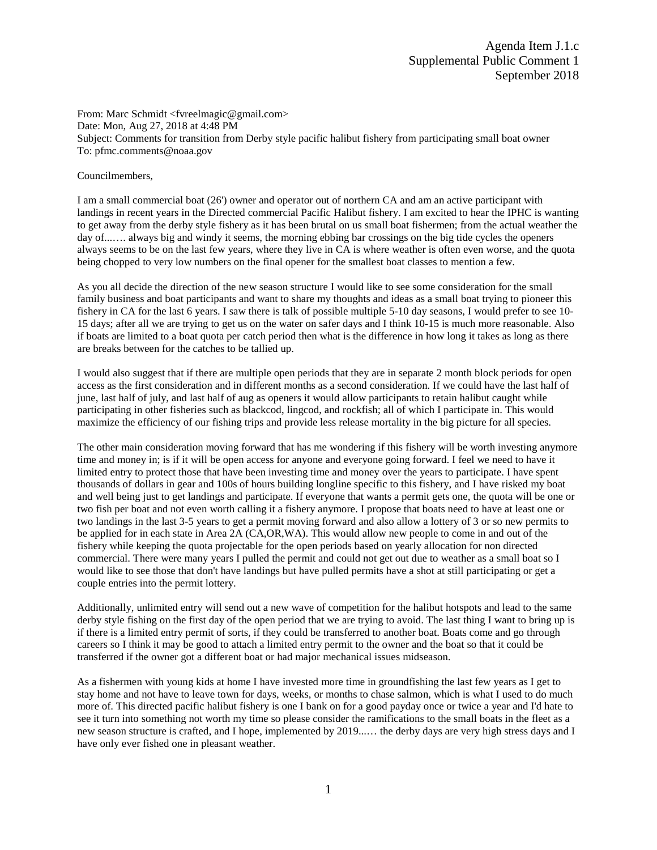From: Marc Schmidt <fvreelmagic@gmail.com> Date: Mon, Aug 27, 2018 at 4:48 PM Subject: Comments for transition from Derby style pacific halibut fishery from participating small boat owner To: pfmc.comments@noaa.gov

## Councilmembers,

I am a small commercial boat (26') owner and operator out of northern CA and am an active participant with landings in recent years in the Directed commercial Pacific Halibut fishery. I am excited to hear the IPHC is wanting to get away from the derby style fishery as it has been brutal on us small boat fishermen; from the actual weather the day of...…. always big and windy it seems, the morning ebbing bar crossings on the big tide cycles the openers always seems to be on the last few years, where they live in CA is where weather is often even worse, and the quota being chopped to very low numbers on the final opener for the smallest boat classes to mention a few.

As you all decide the direction of the new season structure I would like to see some consideration for the small family business and boat participants and want to share my thoughts and ideas as a small boat trying to pioneer this fishery in CA for the last 6 years. I saw there is talk of possible multiple 5-10 day seasons, I would prefer to see 10- 15 days; after all we are trying to get us on the water on safer days and I think 10-15 is much more reasonable. Also if boats are limited to a boat quota per catch period then what is the difference in how long it takes as long as there are breaks between for the catches to be tallied up.

I would also suggest that if there are multiple open periods that they are in separate 2 month block periods for open access as the first consideration and in different months as a second consideration. If we could have the last half of june, last half of july, and last half of aug as openers it would allow participants to retain halibut caught while participating in other fisheries such as blackcod, lingcod, and rockfish; all of which I participate in. This would maximize the efficiency of our fishing trips and provide less release mortality in the big picture for all species.

The other main consideration moving forward that has me wondering if this fishery will be worth investing anymore time and money in; is if it will be open access for anyone and everyone going forward. I feel we need to have it limited entry to protect those that have been investing time and money over the years to participate. I have spent thousands of dollars in gear and 100s of hours building longline specific to this fishery, and I have risked my boat and well being just to get landings and participate. If everyone that wants a permit gets one, the quota will be one or two fish per boat and not even worth calling it a fishery anymore. I propose that boats need to have at least one or two landings in the last 3-5 years to get a permit moving forward and also allow a lottery of 3 or so new permits to be applied for in each state in Area 2A (CA,OR,WA). This would allow new people to come in and out of the fishery while keeping the quota projectable for the open periods based on yearly allocation for non directed commercial. There were many years I pulled the permit and could not get out due to weather as a small boat so I would like to see those that don't have landings but have pulled permits have a shot at still participating or get a couple entries into the permit lottery.

Additionally, unlimited entry will send out a new wave of competition for the halibut hotspots and lead to the same derby style fishing on the first day of the open period that we are trying to avoid. The last thing I want to bring up is if there is a limited entry permit of sorts, if they could be transferred to another boat. Boats come and go through careers so I think it may be good to attach a limited entry permit to the owner and the boat so that it could be transferred if the owner got a different boat or had major mechanical issues midseason.

As a fishermen with young kids at home I have invested more time in groundfishing the last few years as I get to stay home and not have to leave town for days, weeks, or months to chase salmon, which is what I used to do much more of. This directed pacific halibut fishery is one I bank on for a good payday once or twice a year and I'd hate to see it turn into something not worth my time so please consider the ramifications to the small boats in the fleet as a new season structure is crafted, and I hope, implemented by 2019...… the derby days are very high stress days and I have only ever fished one in pleasant weather.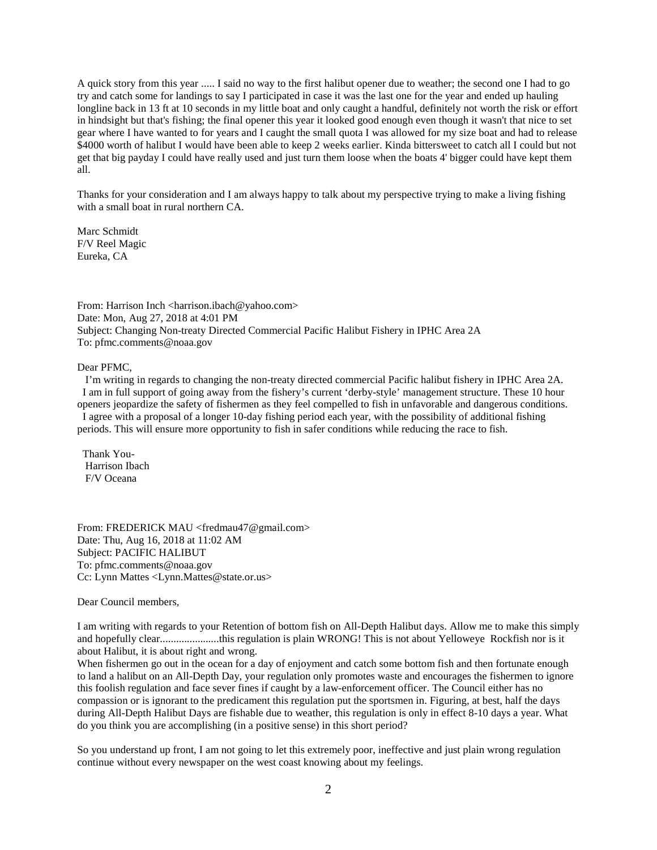A quick story from this year ..... I said no way to the first halibut opener due to weather; the second one I had to go try and catch some for landings to say I participated in case it was the last one for the year and ended up hauling longline back in 13 ft at 10 seconds in my little boat and only caught a handful, definitely not worth the risk or effort in hindsight but that's fishing; the final opener this year it looked good enough even though it wasn't that nice to set gear where I have wanted to for years and I caught the small quota I was allowed for my size boat and had to release \$4000 worth of halibut I would have been able to keep 2 weeks earlier. Kinda bittersweet to catch all I could but not get that big payday I could have really used and just turn them loose when the boats 4' bigger could have kept them all.

Thanks for your consideration and I am always happy to talk about my perspective trying to make a living fishing with a small boat in rural northern CA.

Marc Schmidt F/V Reel Magic Eureka, CA

From: Harrison Inch <harrison.ibach@yahoo.com> Date: Mon, Aug 27, 2018 at 4:01 PM Subject: Changing Non-treaty Directed Commercial Pacific Halibut Fishery in IPHC Area 2A To: pfmc.comments@noaa.gov

Dear PFMC,

 I'm writing in regards to changing the non-treaty directed commercial Pacific halibut fishery in IPHC Area 2A. I am in full support of going away from the fishery's current 'derby-style' management structure. These 10 hour openers jeopardize the safety of fishermen as they feel compelled to fish in unfavorable and dangerous conditions. I agree with a proposal of a longer 10-day fishing period each year, with the possibility of additional fishing periods. This will ensure more opportunity to fish in safer conditions while reducing the race to fish.

 Thank You- Harrison Ibach F/V Oceana

From: FREDERICK MAU <fredmau47@gmail.com> Date: Thu, Aug 16, 2018 at 11:02 AM Subject: PACIFIC HALIBUT To: pfmc.comments@noaa.gov Cc: Lynn Mattes <Lynn.Mattes@state.or.us>

Dear Council members,

I am writing with regards to your Retention of bottom fish on All-Depth Halibut days. Allow me to make this simply and hopefully clear......................this regulation is plain WRONG! This is not about Yelloweye Rockfish nor is it about Halibut, it is about right and wrong.

When fishermen go out in the ocean for a day of enjoyment and catch some bottom fish and then fortunate enough to land a halibut on an All-Depth Day, your regulation only promotes waste and encourages the fishermen to ignore this foolish regulation and face sever fines if caught by a law-enforcement officer. The Council either has no compassion or is ignorant to the predicament this regulation put the sportsmen in. Figuring, at best, half the days during All-Depth Halibut Days are fishable due to weather, this regulation is only in effect 8-10 days a year. What do you think you are accomplishing (in a positive sense) in this short period?

So you understand up front, I am not going to let this extremely poor, ineffective and just plain wrong regulation continue without every newspaper on the west coast knowing about my feelings.